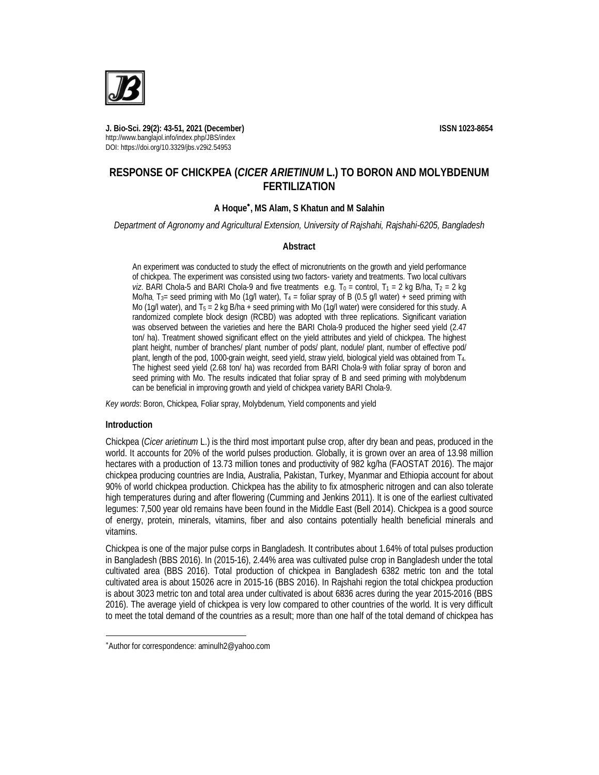

**J. Bio-Sci. 29(2): 43-51, 2021 (December) ISSN 1023-8654** http://www.banglajol.info/index.php/JBS/index DOI: https://doi.org/10.3329/jbs.v29i2.54953

# **RESPONSE OF CHICKPEA (***CICER ARIETINUM* **L.) TO BORON AND MOLYBDENUM FERTILIZATION**

## **A Hoque , MS Alam, S Khatun and M Salahin**

*Department of Agronomy and Agricultural Extension, University of Rajshahi, Rajshahi-6205, Bangladesh*

#### **Abstract**

An experiment was conducted to study the effect of micronutrients on the growth and yield performance of chickpea. The experiment was consisted using two factors- variety and treatments. Two local cultivars *viz*. BARI Chola-5 and BARI Chola-9 and five treatments e.g.  $T_0$  = control,  $T_1$  = 2 kg B/ha,  $T_2$  = 2 kg Mo/ha, T<sub>3</sub>= seed priming with Mo (1g/l water), T<sub>4</sub> = foliar spray of B (0.5 g/l water) + seed priming with Mo (1g/l water), and  $T_5 = 2$  kg B/ha + seed priming with Mo (1g/l water) were considered for this study. A randomized complete block design (RCBD) was adopted with three replications. Significant variation was observed between the varieties and here the BARI Chola-9 produced the higher seed yield (2.47 ton/ ha). Treatment showed significant effect on the yield attributes and yield of chickpea. The highest plant height, number of branches/ plant, number of pods/ plant, nodule/ plant, number of effective pod/ plant, length of the pod, 1000-grain weight, seed yield, straw yield, biological yield was obtained from T4. The highest seed yield (2.68 ton/ ha) was recorded from BARI Chola-9 with foliar spray of boron and seed priming with Mo. The results indicated that foliar spray of B and seed priming with molybdenum can be beneficial in improving growth and yield of chickpea variety BARI Chola-9.

*Key words*: Boron, Chickpea, Foliar spray, Molybdenum, Yield components and yield

### **Introduction**

 $\overline{a}$ 

Chickpea (*Cicer arietinum* L.) is the third most important pulse crop, after dry bean and peas, produced in the world. It accounts for 20% of the world pulses production. Globally, it is grown over an area of 13.98 million hectares with a production of 13.73 million tones and productivity of 982 kg/ha (FAOSTAT 2016). The major chickpea producing countries are India, Australia, Pakistan, Turkey, Myanmar and Ethiopia account for about 90% of world chickpea production. Chickpea has the ability to fix atmospheric nitrogen and can also tolerate high temperatures during and after flowering (Cumming and Jenkins 2011). It is one of the earliest cultivated legumes: 7,500 year old remains have been found in the Middle East (Bell 2014). Chickpea is a good source of energy, protein, minerals, vitamins, fiber and also contains potentially health beneficial minerals and vitamins.

Chickpea is one of the major pulse corps in Bangladesh. It contributes about 1.64% of total pulses production in Bangladesh (BBS 2016). In (2015-16), 2.44% area was cultivated pulse crop in Bangladesh under the total cultivated area (BBS 2016). Total production of chickpea in Bangladesh 6382 metric ton and the total cultivated area is about 15026 acre in 2015-16 (BBS 2016). In Rajshahi region the total chickpea production is about 3023 metric ton and total area under cultivated is about 6836 acres during the year 2015-2016 (BBS 2016). The average yield of chickpea is very low compared to other countries of the world. It is very difficult to meet the total demand of the countries as a result; more than one half of the total demand of chickpea has

Author for correspondence: aminulh2@yahoo.com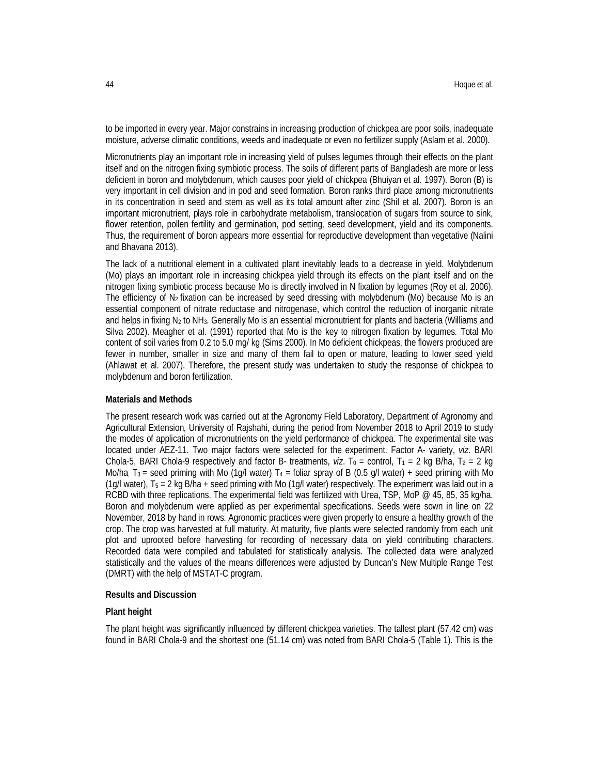to be imported in every year. Major constrains in increasing production of chickpea are poor soils, inadequate moisture, adverse climatic conditions, weeds and inadequate or even no fertilizer supply (Aslam et al. 2000).

Micronutrients play an important role in increasing yield of pulses legumes through their effects on the plant itself and on the nitrogen fixing symbiotic process. The soils of different parts of Bangladesh are more or less deficient in boron and molybdenum, which causes poor yield of chickpea (Bhuiyan et al. 1997). Boron (B) is very important in cell division and in pod and seed formation. Boron ranks third place among micronutrients in its concentration in seed and stem as well as its total amount after zinc (Shil et al. 2007). Boron is an important micronutrient, plays role in carbohydrate metabolism, translocation of sugars from source to sink, flower retention, pollen fertility and germination, pod setting, seed development, yield and its components. Thus, the requirement of boron appears more essential for reproductive development than vegetative (Nalini and Bhavana 2013).

The lack of a nutritional element in a cultivated plant inevitably leads to a decrease in yield. Molybdenum (Mo) plays an important role in increasing chickpea yield through its effects on the plant itself and on the nitrogen fixing symbiotic process because Mo is directly involved in N fixation by legumes (Roy et al. 2006). The efficiency of  $N_2$  fixation can be increased by seed dressing with molybdenum (Mo) because Mo is an essential component of nitrate reductase and nitrogenase, which control the reduction of inorganic nitrate and helps in fixing N<sub>2</sub> to NH<sub>3</sub>. Generally Mo is an essential micronutrient for plants and bacteria (Williams and Silva 2002). Meagher et al. (1991) reported that Mo is the key to nitrogen fixation by legumes. Total Mo content of soil varies from 0.2 to 5.0 mg/ kg (Sims 2000). In Mo deficient chickpeas, the flowers produced are fewer in number, smaller in size and many of them fail to open or mature, leading to lower seed yield (Ahlawat et al. 2007). Therefore, the present study was undertaken to study the response of chickpea to molybdenum and boron fertilization.

### **Materials and Methods**

The present research work was carried out at the Agronomy Field Laboratory, Department of Agronomy and Agricultural Extension, University of Rajshahi, during the period from November 2018 to April 2019 to study the modes of application of micronutrients on the yield performance of chickpea. The experimental site was located under AEZ-11. Two major factors were selected for the experiment. Factor A- variety, *viz*. BARI Chola-5, BARI Chola-9 respectively and factor B- treatments, *viz*. T<sub>0</sub> = control, T<sub>1</sub> = 2 kg B/ha, T<sub>2</sub> = 2 kg Mo/ha,  $T_3$  = seed priming with Mo (1g/l water)  $T_4$  = foliar spray of B (0.5 g/l water) + seed priming with Mo (1g/l water), T<sup>5</sup> = 2 kg B/ha + seed priming with Mo (1g/l water) respectively. The experiment was laid out in a RCBD with three replications. The experimental field was fertilized with Urea, TSP, MoP @ 45, 85, 35 kg/ha. Boron and molybdenum were applied as per experimental specifications. Seeds were sown in line on 22 November, 2018 by hand in rows. Agronomic practices were given properly to ensure a healthy growth of the crop. The crop was harvested at full maturity. At maturity, five plants were selected randomly from each unit plot and uprooted before harvesting for recording of necessary data on yield contributing characters. Recorded data were compiled and tabulated for statistically analysis. The collected data were analyzed statistically and the values of the means differences were adjusted by Duncan's New Multiple Range Test (DMRT) with the help of MSTAT-C program.

## **Results and Discussion**

#### **Plant height**

The plant height was significantly influenced by different chickpea varieties. The tallest plant (57.42 cm) was found in BARI Chola-9 and the shortest one (51.14 cm) was noted from BARI Chola-5 (Table 1). This is the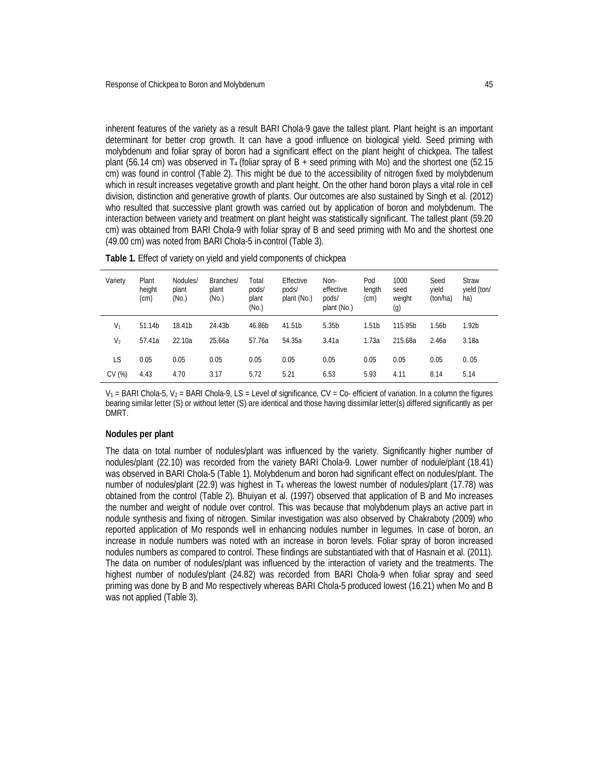inherent features of the variety as a result BARI Chola-9 gave the tallest plant. Plant height is an important determinant for better crop growth. It can have a good influence on biological yield. Seed priming with molybdenum and foliar spray of boron had a significant effect on the plant height of chickpea. The tallest plant (56.14 cm) was observed in T<sub>4</sub> (foliar spray of B + seed priming with Mo) and the shortest one (52.15 cm) was found in control (Table 2). This might be due to the accessibility of nitrogen fixed by molybdenum which in result increases vegetative growth and plant height. On the other hand boron plays a vital role in cell division, distinction and generative growth of plants. Our outcomes are also sustained by Singh et al. (2012) who resulted that successive plant growth was carried out by application of boron and molybdenum. The interaction between variety and treatment on plant height was statistically significant. The tallest plant (59.20 cm) was obtained from BARI Chola-9 with foliar spray of B and seed priming with Mo and the shortest one (49.00 cm) was noted from BARI Chola-5 in control (Table 3).

| Variety | Plant<br>height<br>(cm) | Nodules/<br>plant<br>(No.) | Branches/<br>plant<br>(No.) | Total<br>pods/<br>plant<br>(N <sub>0</sub> ) | Effective<br>pods/<br>plant (No.) | Non-<br>effective<br>pods/<br>plant (No.) | Pod<br>length<br>(c <sub>m</sub> ) | 1000<br>seed<br>weight<br>(g) | Seed<br>vield<br>(ton/ha) |
|---------|-------------------------|----------------------------|-----------------------------|----------------------------------------------|-----------------------------------|-------------------------------------------|------------------------------------|-------------------------------|---------------------------|

**Table 1.** Effect of variety on yield and yield components of chickpea

 $V_1$  = BARI Chola-5,  $V_2$  = BARI Chola-9, LS = Level of significance, CV = Co- efficient of variation. In a column the figures bearing similar letter (S) or without letter (S) are identical and those having dissimilar letter(s) differed significantly as per DMRT.

V<sup>1</sup> 51.14b 18.41b 24.43b 46.86b 41.51b 5.35b 1.51b 115.95b 1.56b 1.92b V<sup>2</sup> 57.41a 22.10a 25.66a 57.76a 54.35a 3.41a 1.73a 215.68a 2.46a 3.18a LS 0.05 0.05 0.05 0.05 0.05 0.05 0.05 0.05 0.05 0..05 CV (%) 4.43 4.70 3.17 5.72 5.21 6.53 5.93 4.11 8.14 5.14

#### **Nodules per plant**

The data on total number of nodules/plant was influenced by the variety. Significantly higher number of nodules/plant (22.10) was recorded from the variety BARI Chola-9. Lower number of nodule/plant (18.41) was observed in BARI Chola-5 (Table 1). Molybdenum and boron had significant effect on nodules/plant. The number of nodules/plant (22.9) was highest in T<sub>4</sub> whereas the lowest number of nodules/plant (17.78) was obtained from the control (Table 2). Bhuiyan et al. (1997) observed that application of B and Mo increases the number and weight of nodule over control. This was because that molybdenum plays an active part in nodule synthesis and fixing of nitrogen. Similar investigation was also observed by Chakraboty (2009) who reported application of Mo responds well in enhancing nodules number in legumes. In case of boron, an increase in nodule numbers was noted with an increase in boron levels. Foliar spray of boron increased nodules numbers as compared to control. These findings are substantiated with that of Hasnain et al. (2011). The data on number of nodules/plant was influenced by the interaction of variety and the treatments. The highest number of nodules/plant (24.82) was recorded from BARI Chola-9 when foliar spray and seed priming was done by B and Mo respectively whereas BARI Chola-5 produced lowest (16.21) when Mo and B was not applied (Table 3).

**Straw** yield (ton/ ha)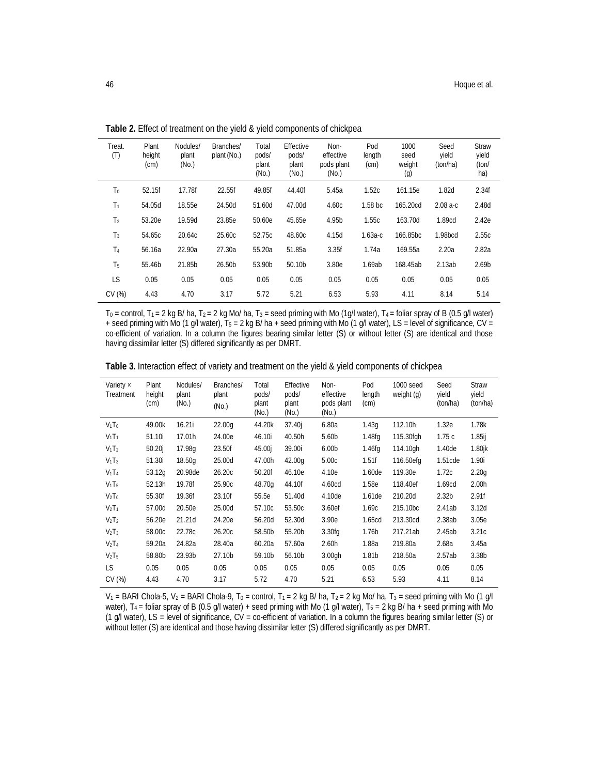| Treat.<br>(T)  | Plant<br>height<br>(cm) | Nodules/<br>plant<br>(N <sub>0</sub> ) | Branches/<br>plant (No.) | Total<br>pods/<br>plant<br>(N <sub>0</sub> ) | Effective<br>pods/<br>plant<br>(N <sub>0</sub> ) | Non-<br>effective<br>pods plant<br>(N <sub>0</sub> ) | Pod<br>length<br>(cm) | 1000<br>seed<br>weight<br>$\left( 9 \right)$ | Seed<br>yield<br>(ton/ha) | <b>Straw</b><br>yield<br>(ton/<br>ha) |
|----------------|-------------------------|----------------------------------------|--------------------------|----------------------------------------------|--------------------------------------------------|------------------------------------------------------|-----------------------|----------------------------------------------|---------------------------|---------------------------------------|
| Τo             | 52.15f                  | 17.78f                                 | 22.55f                   | 49.85f                                       | 44.40f                                           | 5.45a                                                | 1.52c                 | 161.15e                                      | 1.82 <sub>d</sub>         | 2.34f                                 |
| T1             | 54.05d                  | 18.55e                                 | 24.50d                   | 51.60d                                       | 47.00d                                           | 4.60c                                                | 1.58 <sub>bc</sub>    | 165.20cd                                     | $2.08a-c$                 | 2.48d                                 |
| T <sub>2</sub> | 53.20e                  | 19.59d                                 | 23.85e                   | 50.60e                                       | 45.65e                                           | 4.95b                                                | 1.55c                 | 163.70d                                      | 1.89cd                    | 2.42e                                 |
| $T_3$          | 54.65c                  | 20.64c                                 | 25.60c                   | 52.75c                                       | 48.60c                                           | 4.15d                                                | $1.63a-c$             | 166.85bc                                     | 1.98bcd                   | 2.55c                                 |
| T4             | 56.16a                  | 22.90a                                 | 27.30a                   | 55.20a                                       | 51.85a                                           | 3.35f                                                | 1.74a                 | 169.55a                                      | 2.20a                     | 2.82a                                 |
| T5             | 55.46b                  | 21.85b                                 | 26.50b                   | 53.90b                                       | 50.10b                                           | 3.80e                                                | 1.69ab                | 168.45ab                                     | 2.13ab                    | 2.69 <sub>b</sub>                     |
| LS.            | 0.05                    | 0.05                                   | 0.05                     | 0.05                                         | 0.05                                             | 0.05                                                 | 0.05                  | 0.05                                         | 0.05                      | 0.05                                  |
| CV(%)          | 4.43                    | 4.70                                   | 3.17                     | 5.72                                         | 5.21                                             | 6.53                                                 | 5.93                  | 4.11                                         | 8.14                      | 5.14                                  |

**Table 2.** Effect of treatment on the yield & yield components of chickpea

 $T_0$  = control,  $T_1$  = 2 kg B/ ha,  $T_2$  = 2 kg Mo/ ha,  $T_3$  = seed priming with Mo (1g/l water),  $T_4$  = foliar spray of B (0.5 g/l water) + seed priming with Mo (1 g/l water),  $T_5 = 2$  kg B/ ha + seed priming with Mo (1 g/l water), LS = level of significance, CV = co-efficient of variation. In a column the figures bearing similar letter (S) or without letter (S) are identical and those having dissimilar letter (S) differed significantly as per DMRT.

| Table 3. Interaction effect of variety and treatment on the yield & yield components of chickpea |  |  |
|--------------------------------------------------------------------------------------------------|--|--|

| Variety $\times$<br>Treatment | Plant<br>height<br>(cm) | Nodules/<br>plant<br>(N <sub>0</sub> ) | Branches/<br>plant<br>(N <sub>0</sub> ) | Total<br>pods/<br>plant<br>(N <sub>0</sub> ) | Effective<br>pods/<br>plant<br>(No.) | Non-<br>effective<br>pods plant<br>(No.) | Pod<br>length<br>$\text{(cm)}$ | 1000 seed<br>weight (g) | Seed<br>yield<br>(ton/ha) | <b>Straw</b><br>yield<br>(ton/ha) |
|-------------------------------|-------------------------|----------------------------------------|-----------------------------------------|----------------------------------------------|--------------------------------------|------------------------------------------|--------------------------------|-------------------------|---------------------------|-----------------------------------|
| $V_1$ T <sub>0</sub>          | 49.00k                  | 16.21i                                 | 22.00 <sub>q</sub>                      | 44.20k                                       | 37.40j                               | 6.80a                                    | 1.43q                          | 112.10h                 | 1.32e                     | 1.78k                             |
| $V_1$ T <sub>1</sub>          | 51.10i                  | 17.01h                                 | 24.00e                                  | 46.10i                                       | 40.50h                               | 5.60 <sub>b</sub>                        | 1.48fg                         | 115.30fgh               | 1.75c                     | 1.85i                             |
| $V_1$ T <sub>2</sub>          | 50.20 <sub>i</sub>      | 17.98g                                 | 23.50f                                  | 45.00i                                       | 39.00i                               | 6.00 <sub>b</sub>                        | 1.46fg                         | 114.10gh                | 1.40de                    | $1.80$ jk                         |
| $V_1T_3$                      | 51.30i                  | 18.50q                                 | 25.00d                                  | 47.00h                                       | 42.00g                               | 5.00c                                    | 1.51f                          | 116.50efg               | 1.51cde                   | 1.90i                             |
| $V_1$ T <sub>4</sub>          | 53.12g                  | 20.98de                                | 26.20c                                  | 50.20f                                       | 46.10e                               | 4.10e                                    | 1.60 <sub>de</sub>             | 119.30e                 | 1.72c                     | 2.20 <sub>q</sub>                 |
| $V_1T_5$                      | 52.13h                  | 19.78f                                 | 25.90c                                  | 48.70g                                       | 44.10f                               | 4.60cd                                   | 1.58e                          | 118.40ef                | 1.69cd                    | 2.00 <sub>h</sub>                 |
| $V_2T_0$                      | 55.30f                  | 19.36f                                 | 23.10f                                  | 55.5e                                        | 51.40d                               | 4.10de                                   | 1.61 <sub>de</sub>             | 210.20d                 | 2.32 <sub>b</sub>         | 2.91f                             |
| $V_2T_1$                      | 57.00d                  | 20.50e                                 | 25.00d                                  | 57.10c                                       | 53.50c                               | 3.60ef                                   | 1.69c                          | 215.10bc                | 2.41ab                    | 3.12d                             |
| $V_2T_2$                      | 56.20e                  | 21.21d                                 | 24.20e                                  | 56.20d                                       | 52.30d                               | 3.90e                                    | 1.65 <sub>cd</sub>             | 213.30cd                | 2.38ab                    | 3.05e                             |
| $V_2T_3$                      | 58.00c                  | 22.78c                                 | 26.20c                                  | 58.50b                                       | 55.20b                               | 3.30fq                                   | 1.76 <sub>b</sub>              | 217.21ab                | 2.45ab                    | 3.21c                             |
| $V_2T_4$                      | 59.20a                  | 24.82a                                 | 28.40a                                  | 60.20a                                       | 57.60a                               | 2.60h                                    | 1.88a                          | 219.80a                 | 2.68a                     | 3.45a                             |
| V <sub>2</sub> T <sub>5</sub> | 58.80b                  | 23.93b                                 | 27.10b                                  | 59.10b                                       | 56.10b                               | 3.00 <sub>gh</sub>                       | 1.81 <sub>b</sub>              | 218.50a                 | 2.57ab                    | 3.38 <sub>b</sub>                 |
| <b>LS</b>                     | 0.05                    | 0.05                                   | 0.05                                    | 0.05                                         | 0.05                                 | 0.05                                     | 0.05                           | 0.05                    | 0.05                      | 0.05                              |
| CV(%)                         | 4.43                    | 4.70                                   | 3.17                                    | 5.72                                         | 4.70                                 | 5.21                                     | 6.53                           | 5.93                    | 4.11                      | 8.14                              |

 $V_1$  = BARI Chola-5,  $V_2$  = BARI Chola-9, T<sub>0</sub> = control, T<sub>1</sub> = 2 kg B/ ha, T<sub>2</sub> = 2 kg Mo/ ha, T<sub>3</sub> = seed priming with Mo (1 g/l water),  $T_4$  = foliar spray of B (0.5 g/l water) + seed priming with Mo (1 g/l water),  $T_5$  = 2 kg B/ ha + seed priming with Mo (1 g/l water), LS = level of significance, CV = co-efficient of variation. In a column the figures bearing similar letter (S) or without letter (S) are identical and those having dissimilar letter (S) differed significantly as per DMRT.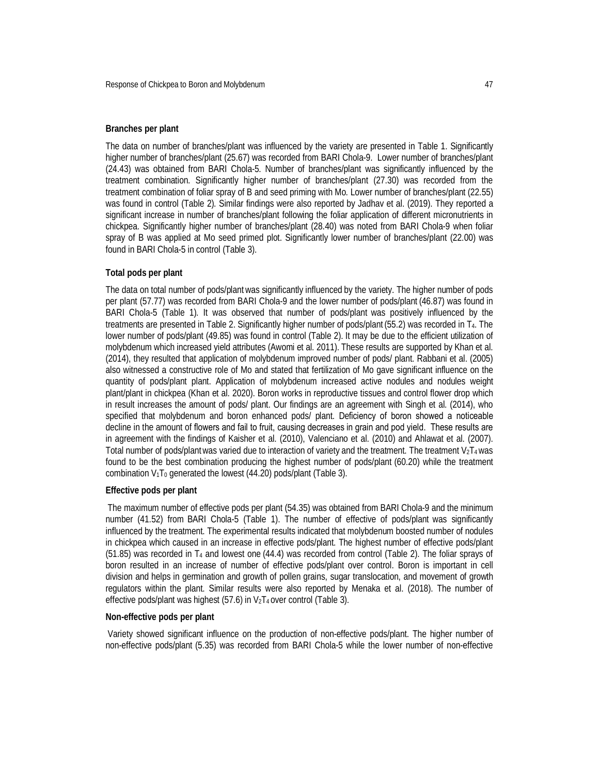## **Branches per plant**

The data on number of branches/plant was influenced by the variety are presented in Table 1. Significantly higher number of branches/plant (25.67) was recorded from BARI Chola-9. Lower number of branches/plant (24.43) was obtained from BARI Chola-5. Number of branches/plant was significantly influenced by the treatment combination. Significantly higher number of branches/plant (27.30) was recorded from the treatment combination of foliar spray of B and seed priming with Mo. Lower number of branches/plant (22.55) was found in control (Table 2). Similar findings were also reported by Jadhav et al. (2019). They reported a significant increase in number of branches/plant following the foliar application of different micronutrients in chickpea. Significantly higher number of branches/plant (28.40) was noted from BARI Chola-9 when foliar spray of B was applied at Mo seed primed plot. Significantly lower number of branches/plant (22.00) was found in BARI Chola-5 in control (Table 3).

#### **Total pods per plant**

The data on total number of pods/plantwas significantly influenced by the variety. The higher number of pods per plant (57.77) was recorded from BARI Chola-9 and the lower number of pods/plant (46.87) was found in BARI Chola-5 (Table 1). It was observed that number of pods/plant was positively influenced by the treatments are presented in Table 2. Significantly higher number of pods/plant (55.2) was recorded in T4. The lower number of pods/plant (49.85) was found in control (Table 2). It may be due to the efficient utilization of molybdenum which increased yield attributes (Awomi et al. 2011). These results are supported by Khan et al. (2014), they resulted that application of molybdenum improved number of pods/ plant. Rabbani et al. (2005) also witnessed a constructive role of Mo and stated that fertilization of Mo gave significant influence on the quantity of pods/plant plant. Application of molybdenum increased active nodules and nodules weight plant/plant in chickpea (Khan et al. 2020). Boron works in reproductive tissues and control flower drop which in result increases the amount of pods/ plant. Our findings are an agreement with Singh et al. (2014), who specified that molybdenum and boron enhanced pods/ plant. Deficiency of boron showed a noticeable decline in the amount of flowers and fail to fruit, causing decreases in grain and pod yield. These results are in agreement with the findings of Kaisher et al. (2010), Valenciano et al. (2010) and Ahlawat et al. (2007). Total number of pods/plantwas varied due to interaction of variety and the treatment. The treatment  $V_2T_4$  was found to be the best combination producing the highest number of pods/plant (60.20) while the treatment combination  $V_1$ T<sub>0</sub> generated the lowest (44.20) pods/plant (Table 3).

## **Effective pods per plant**

The maximum number of effective pods per plant (54.35) was obtained from BARI Chola-9 and the minimum number (41.52) from BARI Chola-5 (Table 1). The number of effective of pods/plant was significantly influenced by the treatment. The experimental results indicated that molybdenum boosted number of nodules in chickpea which caused in an increase in effective pods/plant. The highest number of effective pods/plant (51.85) was recorded in T<sup>4</sup> and lowest one (44.4) was recorded from control (Table 2). The foliar sprays of boron resulted in an increase of number of effective pods/plant over control. Boron is important in cell division and helps in germination and growth of pollen grains, sugar translocation, and movement of growth regulators within the plant. Similar results were also reported by Menaka et al. (2018). The number of effective pods/plant was highest (57.6) in  $V_2T_4$  over control (Table 3).

#### **Non-effective pods per plant**

Variety showed significant influence on the production of non-effective pods/plant. The higher number of non-effective pods/plant (5.35) was recorded from BARI Chola-5 while the lower number of non-effective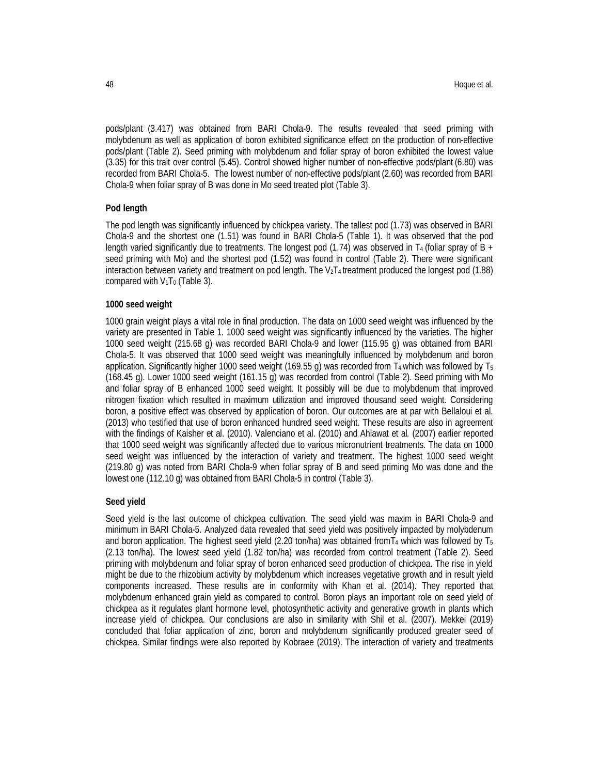pods/plant (3.417) was obtained from BARI Chola-9. The results revealed that seed priming with molybdenum as well as application of boron exhibited significance effect on the production of non-effective pods/plant (Table 2). Seed priming with molybdenum and foliar spray of boron exhibited the lowest value (3.35) for this trait over control (5.45). Control showed higher number of non-effective pods/plant (6.80) was recorded from BARI Chola-5. The lowest number of non-effective pods/plant (2.60) was recorded from BARI Chola-9 when foliar spray of B was done in Mo seed treated plot (Table 3).

#### **Pod length**

The pod length was significantly influenced by chickpea variety. The tallest pod (1.73) was observed in BARI Chola-9 and the shortest one (1.51) was found in BARI Chola-5 (Table 1). It was observed that the pod length varied significantly due to treatments. The longest pod (1.74) was observed in T<sub>4</sub> (foliar spray of B + seed priming with Mo) and the shortest pod (1.52) was found in control (Table 2). There were significant interaction between variety and treatment on pod length. The V<sub>2</sub>T<sub>4</sub> treatment produced the longest pod (1.88) compared with  $V_1$ T<sub>0</sub> (Table 3).

## **1000 seed weight**

1000 grain weight plays a vital role in final production. The data on 1000 seed weight was influenced by the variety are presented in Table 1. 1000 seed weight was significantly influenced by the varieties. The higher 1000 seed weight (215.68 g) was recorded BARI Chola-9 and lower (115.95 g) was obtained from BARI Chola-5. It was observed that 1000 seed weight was meaningfully influenced by molybdenum and boron application. Significantly higher 1000 seed weight (169.55 g) was recorded from  $T_4$  which was followed by  $T_5$ (168.45 g). Lower 1000 seed weight (161.15 g) was recorded from control (Table 2). Seed priming with Mo and foliar spray of B enhanced 1000 seed weight. It possibly will be due to molybdenum that improved nitrogen fixation which resulted in maximum utilization and improved thousand seed weight. Considering boron, a positive effect was observed by application of boron. Our outcomes are at par with Bellaloui et al. (2013) who testified that use of boron enhanced hundred seed weight. These results are also in agreement with the findings of Kaisher et al. (2010). Valenciano et al. (2010) and Ahlawat et al*.* (2007) earlier reported that 1000 seed weight was significantly affected due to various micronutrient treatments. The data on 1000 seed weight was influenced by the interaction of variety and treatment. The highest 1000 seed weight (219.80 g) was noted from BARI Chola-9 when foliar spray of B and seed priming Mo was done and the lowest one (112.10 g) was obtained from BARI Chola-5 in control (Table 3).

## **Seed yield**

Seed yield is the last outcome of chickpea cultivation. The seed yield was maxim in BARI Chola-9 and minimum in BARI Chola-5. Analyzed data revealed that seed yield was positively impacted by molybdenum and boron application. The highest seed yield (2.20 ton/ha) was obtained from  $T_4$  which was followed by  $T_5$ (2.13 ton/ha). The lowest seed yield (1.82 ton/ha) was recorded from control treatment (Table 2). Seed priming with molybdenum and foliar spray of boron enhanced seed production of chickpea. The rise in yield might be due to the rhizobium activity by molybdenum which increases vegetative growth and in result yield components increased. These results are in conformity with Khan et al. (2014). They reported that molybdenum enhanced grain yield as compared to control. Boron plays an important role on seed yield of chickpea as it regulates plant hormone level, photosynthetic activity and generative growth in plants which increase yield of chickpea. Our conclusions are also in similarity with Shil et al. (2007). Mekkei (2019) concluded that foliar application of zinc, boron and molybdenum significantly produced greater seed of chickpea. Similar findings were also reported by Kobraee (2019). The interaction of variety and treatments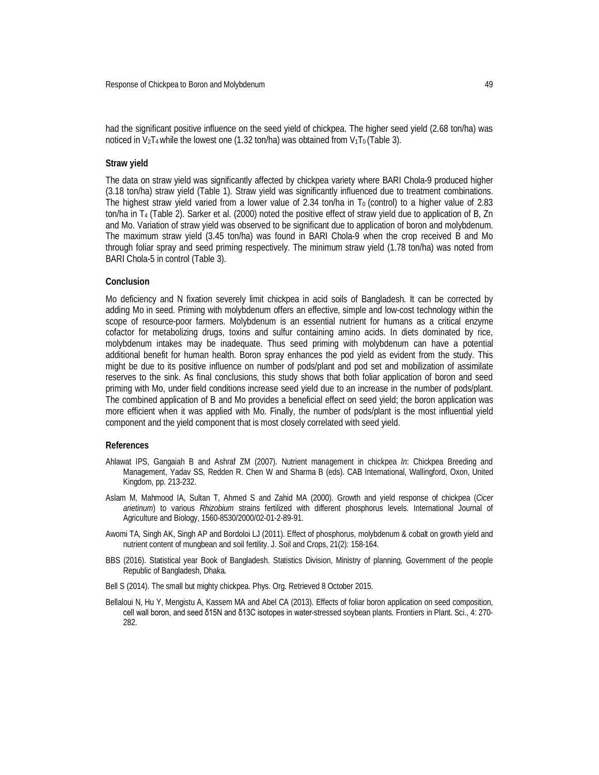had the significant positive influence on the seed yield of chickpea. The higher seed yield (2.68 ton/ha) was noticed in V<sub>2</sub>T<sub>4</sub> while the lowest one (1.32 ton/ha) was obtained from V<sub>1</sub>T<sub>0</sub> (Table 3).

#### **Straw yield**

The data on straw yield was significantly affected by chickpea variety where BARI Chola-9 produced higher (3.18 ton/ha) straw yield (Table 1). Straw yield was significantly influenced due to treatment combinations. The highest straw yield varied from a lower value of 2.34 ton/ha in  $T_0$  (control) to a higher value of 2.83 ton/ha in T<sup>4</sup> (Table 2). Sarker et al. (2000) noted the positive effect of straw yield due to application of B, Zn and Mo. Variation of straw yield was observed to be significant due to application of boron and molybdenum. The maximum straw yield (3.45 ton/ha) was found in BARI Chola-9 when the crop received B and Mo through foliar spray and seed priming respectively. The minimum straw yield (1.78 ton/ha) was noted from BARI Chola-5 in control (Table 3).

#### **Conclusion**

Mo deficiency and N fixation severely limit chickpea in acid soils of Bangladesh. It can be corrected by adding Mo in seed. Priming with molybdenum offers an effective, simple and low-cost technology within the scope of resource-poor farmers. Molybdenum is an essential nutrient for humans as a critical enzyme cofactor for metabolizing drugs, toxins and sulfur containing amino acids. In diets dominated by rice, molybdenum intakes may be inadequate. Thus seed priming with molybdenum can have a potential additional benefit for human health. Boron spray enhances the pod yield as evident from the study. This might be due to its positive influence on number of pods/plant and pod set and mobilization of assimilate reserves to the sink. As final conclusions, this study shows that both foliar application of boron and seed priming with Mo, under field conditions increase seed yield due to an increase in the number of pods/plant. The combined application of B and Mo provides a beneficial effect on seed yield; the boron application was more efficient when it was applied with Mo. Finally, the number of pods/plant is the most influential yield component and the yield component that is most closely correlated with seed yield.

#### **References**

- Ahlawat IPS, Gangaiah B and Ashraf ZM (2007). Nutrient management in chickpea *In*: Chickpea Breeding and Management, Yadav SS, Redden R. Chen W and Sharma B (eds). CAB International, Wallingford, Oxon, United Kingdom, pp. 213-232.
- Aslam M, Mahmood IA, Sultan T, Ahmed S and Zahid MA (2000). Growth and yield response of chickpea (*Cicer arietinum*) to various *Rhizobium* strains fertilized with different phosphorus levels. International Journal of Agriculture and Biology, 1560-8530/2000/02-01-2-89-91.
- Awomi TA, Singh AK, Singh AP and Bordoloi LJ (2011). Effect of phosphorus, molybdenum & cobalt on growth yield and nutrient content of mungbean and soil fertility. J. Soil and Crops, 21(2): 158-164.
- BBS (2016). Statistical year Book of Bangladesh. Statistics Division, Ministry of planning, Government of the people Republic of Bangladesh, Dhaka.
- Bell S (2014). The small but mighty chickpea. Phys. Org. Retrieved 8 October 2015.
- Bellaloui N, Hu Y, Mengistu A, Kassem MA and Abel CA (2013). Effects of foliar boron application on seed composition, cell wall boron, and seed δ15N and δ13C isotopes in water-stressed soybean plants. Frontiers in Plant. Sci., 4: 270- 282.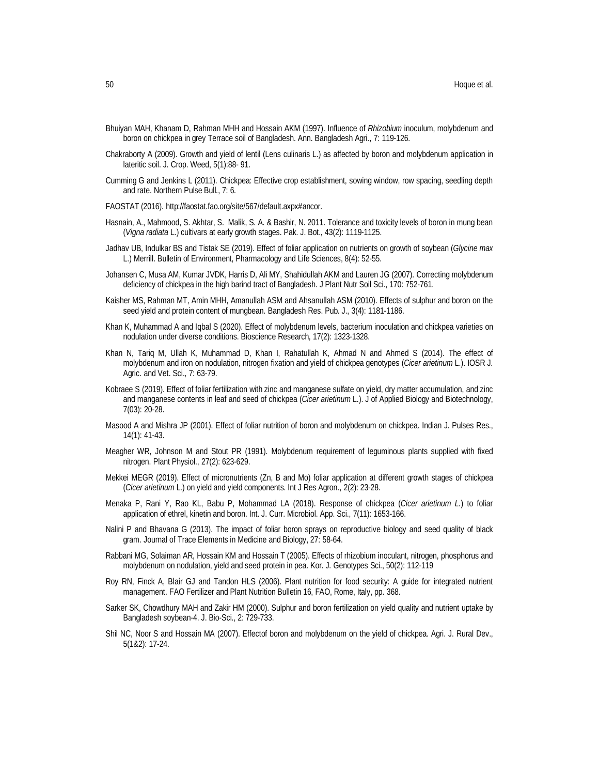- Bhuiyan MAH, Khanam D, Rahman MHH and Hossain AKM (1997). Influence of *Rhizobium* inoculum, molybdenum and boron on chickpea in grey Terrace soil of Bangladesh. Ann. Bangladesh Agri., 7: 119-126.
- Chakraborty A (2009). Growth and yield of lentil (Lens culinaris L.) as affected by boron and molybdenum application in lateritic soil. J. Crop. Weed, 5(1):88- 91.
- Cumming G and Jenkins L (2011). Chickpea: Effective crop establishment, sowing window, row spacing, seedling depth and rate. Northern Pulse Bull., 7: 6.
- FAOSTAT (2016). http://faostat.fao.org/site/567/default.axpx#ancor.
- Hasnain, A., Mahmood, S. Akhtar, S. Malik, S. A. & Bashir, N. 2011. Tolerance and toxicity levels of boron in mung bean (*Vigna radiata* L.) cultivars at early growth stages. Pak. J. Bot., 43(2): 1119-1125.
- Jadhav UB, Indulkar BS and Tistak SE (2019). Effect of foliar application on nutrients on growth of soybean (*Glycine max* L.) Merrill. Bulletin of Environment, Pharmacology and Life Sciences, 8(4): 52-55.
- Johansen C, Musa AM, Kumar JVDK, Harris D, Ali MY, Shahidullah AKM and Lauren JG (2007). Correcting molybdenum deficiency of chickpea in the high barind tract of Bangladesh. J Plant Nutr Soil Sci., 170: 752-761.
- Kaisher MS, Rahman MT, Amin MHH, Amanullah ASM and Ahsanullah ASM (2010). Effects of sulphur and boron on the seed yield and protein content of mungbean. Bangladesh Res. Pub. J., 3(4): 1181-1186.
- Khan K, Muhammad A and Iqbal S (2020). Effect of molybdenum levels, bacterium inoculation and chickpea varieties on nodulation under diverse conditions. Bioscience Research, 17(2): 1323-1328.
- Khan N, Tariq M, Ullah K, Muhammad D, Khan I, Rahatullah K, Ahmad N and Ahmed S (2014). The effect of molybdenum and iron on nodulation, nitrogen fixation and yield of chickpea genotypes (*Cicer arietinum* L.). IOSR J. Agric. and Vet. Sci., 7: 63-79.
- Kobraee S (2019). Effect of foliar fertilization with zinc and manganese sulfate on yield, dry matter accumulation, and zinc and manganese contents in leaf and seed of chickpea (*Cicer arietinum* L.). J of Applied Biology and Biotechnology, 7(03): 20-28.
- Masood A and Mishra JP (2001). Effect of foliar nutrition of boron and molybdenum on chickpea. Indian J. Pulses Res., 14(1): 41-43.
- Meagher WR, Johnson M and Stout PR (1991). Molybdenum requirement of leguminous plants supplied with fixed nitrogen. Plant Physiol., 27(2): 623-629.
- Mekkei MEGR (2019). Effect of micronutrients (Zn, B and Mo) foliar application at different growth stages of chickpea (*Cicer arietinum* L.) on yield and yield components. Int J Res Agron., 2(2): 23-28.
- Menaka P, Rani Y, Rao KL, Babu P, Mohammad LA (2018). Response of chickpea (*Cicer arietinum L.*) to foliar application of ethrel, kinetin and boron. Int. J. Curr. Microbiol. App. Sci., 7(11): 1653-166.
- Nalini P and Bhavana G (2013). The impact of foliar boron sprays on reproductive biology and seed quality of black gram. Journal of Trace Elements in Medicine and Biology, 27: 58-64.
- Rabbani MG, Solaiman AR, Hossain KM and Hossain T (2005). Effects of rhizobium inoculant, nitrogen, phosphorus and molybdenum on nodulation, yield and seed protein in pea. Kor. J. Genotypes Sci., 50(2): 112-119
- Roy RN, Finck A, Blair GJ and Tandon HLS (2006). Plant nutrition for food security: A guide for integrated nutrient management. FAO Fertilizer and Plant Nutrition Bulletin 16, FAO, Rome, Italy, pp. 368.
- Sarker SK, Chowdhury MAH and Zakir HM (2000). Sulphur and boron fertilization on yield quality and nutrient uptake by Bangladesh soybean-4. J. Bio-Sci., 2: 729-733.
- Shil NC, Noor S and Hossain MA (2007). Effectof boron and molybdenum on the yield of chickpea. Agri. J. Rural Dev., 5(1&2): 17-24.